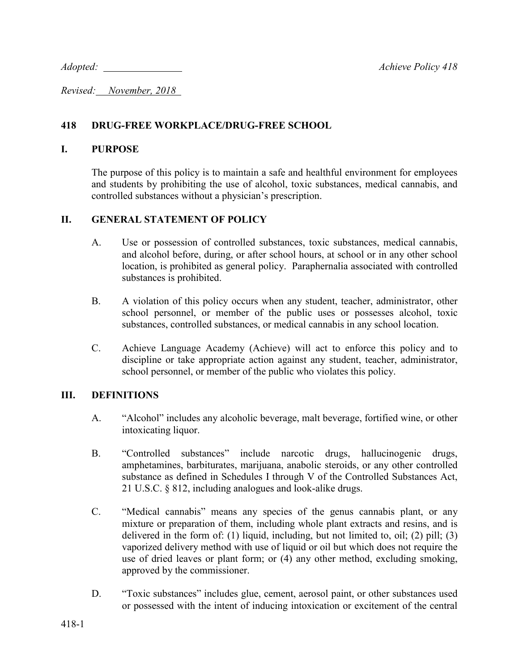*Adopted: Achieve Policy 418*

*Revised: November, 2018* 

## **418 DRUG-FREE WORKPLACE/DRUG-FREE SCHOOL**

#### **I. PURPOSE**

The purpose of this policy is to maintain a safe and healthful environment for employees and students by prohibiting the use of alcohol, toxic substances, medical cannabis, and controlled substances without a physician's prescription.

## **II. GENERAL STATEMENT OF POLICY**

- A. Use or possession of controlled substances, toxic substances, medical cannabis, and alcohol before, during, or after school hours, at school or in any other school location, is prohibited as general policy. Paraphernalia associated with controlled substances is prohibited.
- B. A violation of this policy occurs when any student, teacher, administrator, other school personnel, or member of the public uses or possesses alcohol, toxic substances, controlled substances, or medical cannabis in any school location.
- C. Achieve Language Academy (Achieve) will act to enforce this policy and to discipline or take appropriate action against any student, teacher, administrator, school personnel, or member of the public who violates this policy.

## **III. DEFINITIONS**

- A. "Alcohol" includes any alcoholic beverage, malt beverage, fortified wine, or other intoxicating liquor.
- B. "Controlled substances" include narcotic drugs, hallucinogenic drugs, amphetamines, barbiturates, marijuana, anabolic steroids, or any other controlled substance as defined in Schedules I through V of the Controlled Substances Act, 21 U.S.C. § 812, including analogues and look-alike drugs.
- C. "Medical cannabis" means any species of the genus cannabis plant, or any mixture or preparation of them, including whole plant extracts and resins, and is delivered in the form of: (1) liquid, including, but not limited to, oil; (2) pill; (3) vaporized delivery method with use of liquid or oil but which does not require the use of dried leaves or plant form; or (4) any other method, excluding smoking, approved by the commissioner.
- D. "Toxic substances" includes glue, cement, aerosol paint, or other substances used or possessed with the intent of inducing intoxication or excitement of the central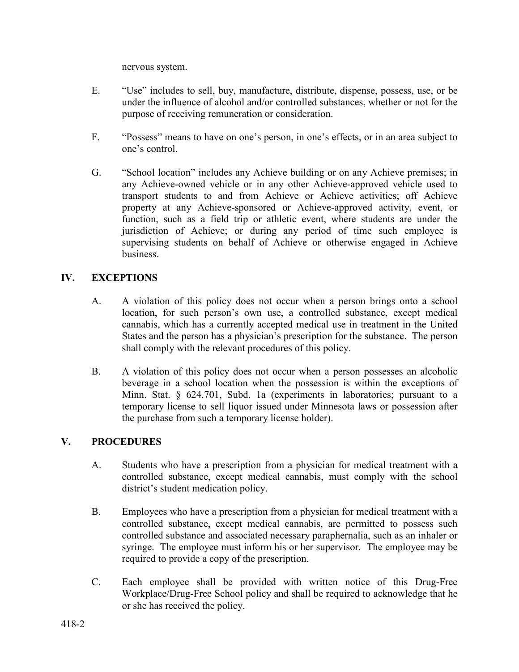nervous system.

- E. "Use" includes to sell, buy, manufacture, distribute, dispense, possess, use, or be under the influence of alcohol and/or controlled substances, whether or not for the purpose of receiving remuneration or consideration.
- F. "Possess" means to have on one's person, in one's effects, or in an area subject to one's control.
- G. "School location" includes any Achieve building or on any Achieve premises; in any Achieve-owned vehicle or in any other Achieve-approved vehicle used to transport students to and from Achieve or Achieve activities; off Achieve property at any Achieve-sponsored or Achieve-approved activity, event, or function, such as a field trip or athletic event, where students are under the jurisdiction of Achieve; or during any period of time such employee is supervising students on behalf of Achieve or otherwise engaged in Achieve business.

# **IV. EXCEPTIONS**

- A. A violation of this policy does not occur when a person brings onto a school location, for such person's own use, a controlled substance, except medical cannabis, which has a currently accepted medical use in treatment in the United States and the person has a physician's prescription for the substance. The person shall comply with the relevant procedures of this policy.
- B. A violation of this policy does not occur when a person possesses an alcoholic beverage in a school location when the possession is within the exceptions of Minn. Stat. § 624.701, Subd. 1a (experiments in laboratories; pursuant to a temporary license to sell liquor issued under Minnesota laws or possession after the purchase from such a temporary license holder).

## **V. PROCEDURES**

- A. Students who have a prescription from a physician for medical treatment with a controlled substance, except medical cannabis, must comply with the school district's student medication policy.
- B. Employees who have a prescription from a physician for medical treatment with a controlled substance, except medical cannabis, are permitted to possess such controlled substance and associated necessary paraphernalia, such as an inhaler or syringe. The employee must inform his or her supervisor. The employee may be required to provide a copy of the prescription.
- C. Each employee shall be provided with written notice of this Drug-Free Workplace/Drug-Free School policy and shall be required to acknowledge that he or she has received the policy.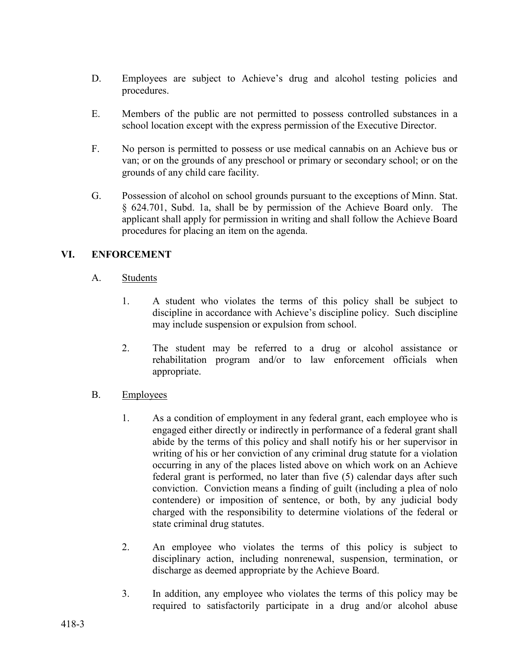- D. Employees are subject to Achieve's drug and alcohol testing policies and procedures.
- E. Members of the public are not permitted to possess controlled substances in a school location except with the express permission of the Executive Director.
- F. No person is permitted to possess or use medical cannabis on an Achieve bus or van; or on the grounds of any preschool or primary or secondary school; or on the grounds of any child care facility.
- G. Possession of alcohol on school grounds pursuant to the exceptions of Minn. Stat. § 624.701, Subd. 1a, shall be by permission of the Achieve Board only. The applicant shall apply for permission in writing and shall follow the Achieve Board procedures for placing an item on the agenda.

## **VI. ENFORCEMENT**

- A. Students
	- 1. A student who violates the terms of this policy shall be subject to discipline in accordance with Achieve's discipline policy. Such discipline may include suspension or expulsion from school.
	- 2. The student may be referred to a drug or alcohol assistance or rehabilitation program and/or to law enforcement officials when appropriate.
- B. Employees
	- 1. As a condition of employment in any federal grant, each employee who is engaged either directly or indirectly in performance of a federal grant shall abide by the terms of this policy and shall notify his or her supervisor in writing of his or her conviction of any criminal drug statute for a violation occurring in any of the places listed above on which work on an Achieve federal grant is performed, no later than five (5) calendar days after such conviction. Conviction means a finding of guilt (including a plea of nolo contendere) or imposition of sentence, or both, by any judicial body charged with the responsibility to determine violations of the federal or state criminal drug statutes.
	- 2. An employee who violates the terms of this policy is subject to disciplinary action, including nonrenewal, suspension, termination, or discharge as deemed appropriate by the Achieve Board.
	- 3. In addition, any employee who violates the terms of this policy may be required to satisfactorily participate in a drug and/or alcohol abuse